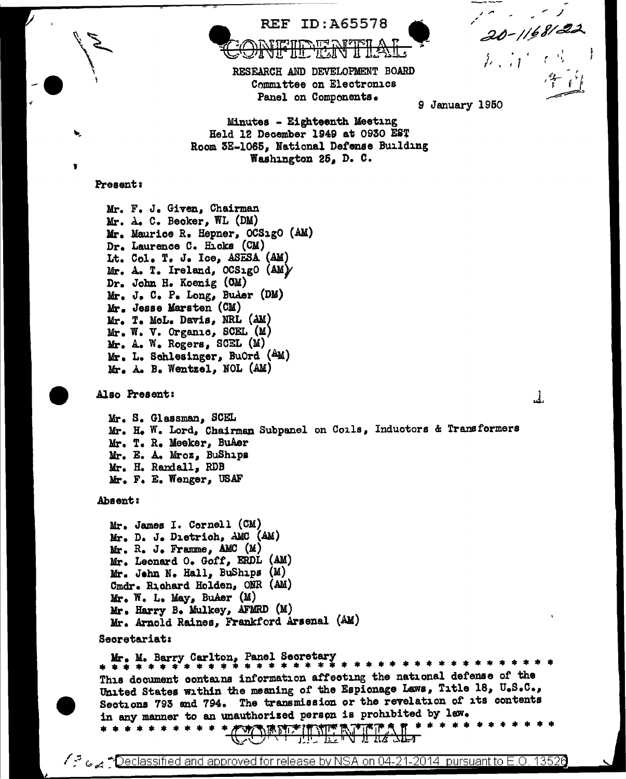

Peclassified and approved for release by NSA on 04-21-2014 pursuant to E.O. 13526 ي<sub>جد</sub>ي <sup>5</sup>ر)

;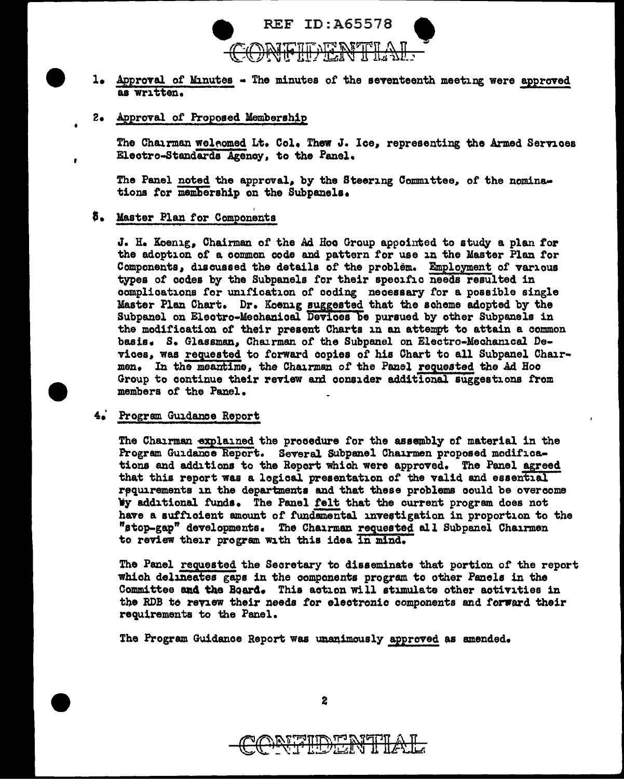

- 1. Approval of Minutes The minutes of the seventeenth meeting were approved as written.
- 2. Approval of Proposed Membership

The Chairman weleomed Lt. Col. Thew J. Ice, representing the Armed Services Electro-Standards Agency, to the Panel.

The Panel noted the approval, by the Steering Committee, of the nominations for membership on the Subpanels.

## \$. Master Plan for Components

J. H. Koenig, Chairman of the Ad Hoo Group appointed to study a plan for the adoption of a common code and pattern for use in the Master Plan for Components, discussed the details of the problem. Employment of various types of codes by the Subpanels for their specific needs resulted in complications for unification of coding necessary for a possible single Master Plan Chart. Dr. Koenig suggested that the scheme adopted by the Subpanel on Electro-Mechanical Devices be pursued by other Subpanels in the modification of their present Charts in an attempt to attain a common basis. S. Glassman, Chairman of the Subpanel on Electro-Mechanical Devices, was requested to forward copies of his Chart to all Subpanel Chairmen. In the meantime, the Chairman of the Panel requested the Ad Hoc Group to continue their review and consider additional suggestions from members of the Panel.

#### 4. Program Guidance Report

The Chairman explained the procedure for the assembly of material in the Program Guidance Report. Several Subpanel Chairmen proposed modifications and additions to the Report which were approved. The Panel agreed that this report was a logical presentation of the valid and essential requirements in the departments and that these problems could be overcome Wy additional funds. The Panel felt that the current program does not have a sufficient amount of fundamental investigation in proportion to the "stop-gap" developments. The Chairman requested all Subpanel Chairmen to review their program with this idea in mind.

The Panel requested the Secretary to disseminate that portion of the report which delineates gaps in the components program to other Panels in the Committee and the Board. This action will stimulate other activities in the RDB to review their needs for electronic components and forward their requirements to the Panel.

The Program Guidance Report was unanimously approved as amended.



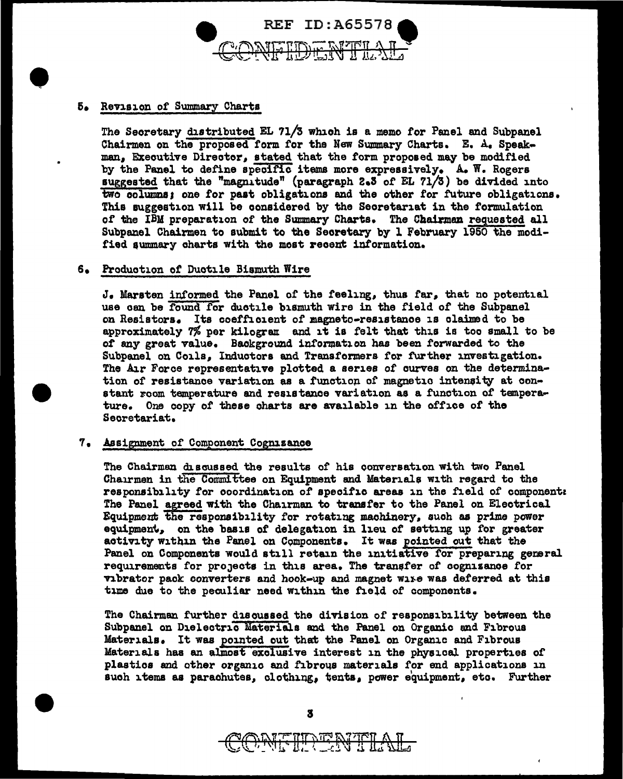

# • 6e Revision of Summary Charts

The Secretary distributed EL 71/3 which is a memo for Panel and Subpanel Chairmen on the proposed form for the New Summary Charts. E. A. Speakman, Executive Director, stated that the form proposed may be modified by the Panel to define speoific items more expressively. A. W. Rogers suggested that the "magnitude" (paragraph 2.3 of EL 71/3) be divided into two columns; one for past obligations and the other for future obligations. This suggestion will be oonsidered by the Secretariat in the formulation of the IBM preparation of the Summary Charts. The Chairman requested all Subpanel Chairmen to submit to the Seoretary by l February 1950 the modified summary charts with the most recent information.

# s. Production of Ductile Bismuth Wire

J. Marsten informed the Panel of the feeling, thus far, that no potential use can be found for duotile bismuth wire in the field of the Subpanel on Resistors. Its coefficient of magneto-resistance is claimed to be approximately  $7\%$  per kilogram and it is felt that this is too small to be *ot* any great value. Background information has been forwarded to the Subpanel on Coils, Inductors and Transformers tor further investigation. The Air Force representative plotted a series of curves on the determination of resistance variation as a function of magnetic intensity at constant room temperature and resistance variation as a function of temperature. One copy of these charts are available in the office of the Seoretariat.

## 7. Assignment of Component Cognizance

The Chairmen discussed the results of his conversation with two Panel Chairmen in the Committee on Equipment and Materials with regard to the responsibility for coordination of specific areas in the field of component: The Panel agreed with the Chairman to transfer to the Panel on Electrical Equipment the responsibility for rotating machinery, such as prime power equipment, on the basis of delegation in lieu of setting up for greater activity within the Panel on Components. It was pointed out that the Panel on Components would still retain the initiative for preparing general requirements for projects in this area. The transfer of cognizance for vibrator pack converters and hook-up and magnet wire was deferred at this time due to the peculiar need within the field of components.

The Chairman further discussed the division of responsibility between the Subpanel on Dielectric Materials and the Panel on Organic and Fibrous Materials. It was pointed out that the Panel on Organic and Fibrous Materials haa an alinoat exclusive interest in the physical. properties of' plastics and other organic and fibrous materials for end applications in such items as parachutes, clothing, tents, power equipment, etc. Further

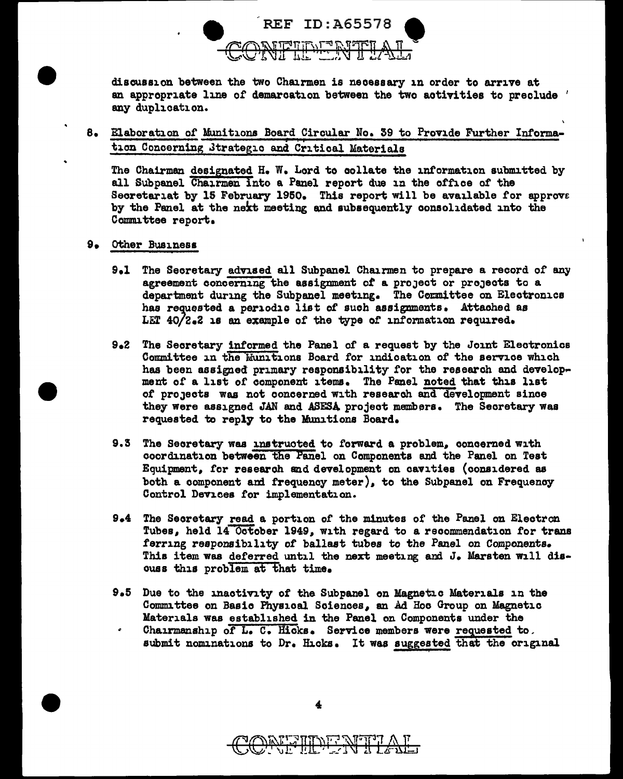

discussion between the two Chairmen is necessary in order to arrive at an appropriate line of demarcation between the two aotivities to preclude ' any duplication.

8. Elaboration of Munitions Board Circular No. 39 to Provide Further Information Concerning Jtrategio and Critical Materials

The Chairman designated H. W. Lord to collate the information submitted by all Subpanel Chairmen into a Panel report due in the office of the Secretariat by 15 February 1950. This report will be available for approve by the Panel at the next meeting and subsequently consolidated into the Committee report.

- 9. Other Business
	- 9.1 The Secretary advised all Subpanel Chairmen to prepare a record of any agreement concerning the assignment *ot* a proJect or proJects to a department during the Subpanel meeting. The Committee on Electronics has requested a periodic list of such assignments. Attached as LET  $40/2.2$  is an example of the type of information required.
	- 9.2 The Secretary informed the Panel of a request by the Joint Electronics Committee in the Munitions Board for indication of the service which has been assigned primary responsibility for the research and development of a list of component items. The Panel noted that this list of projects was not concerned with research and development since they were assigned JAN and ASESA project members. The Secretary was requested to reply to the Munitions Board.
	- 9.3 The Secretary was instructed to forward a problem, concerned with coordination between the Panel on Components and the Panel on Test Equipment. tor research and development on cavities (considered as both a component ani frequency meter). to the Subpanel on Frequenoy Control Devices for implementation.
	- 9.4 The Secretary read a portion of the minutes of the Panel on Electron Tubes, held 14 October 1949, with regard to a recommendation for trans ferring responsibility of ballast tubes to the Panel on Components. This item was deferred until the next meeting and J. Marsten will discuss this problem at that time.
	- 9.5 Due to the inactivity of the Subpanel on Magnetic Materials in the Committee on Basic Physical Sciences, an Ad Hoo Group on Magnetic Materials was established in the Panel on Components under the  $\epsilon$ 
		- Chairmanship *ot* L. c. Hicks. Service members were requested to. submit nominations to Dr. Hicks. It was suggested that the original



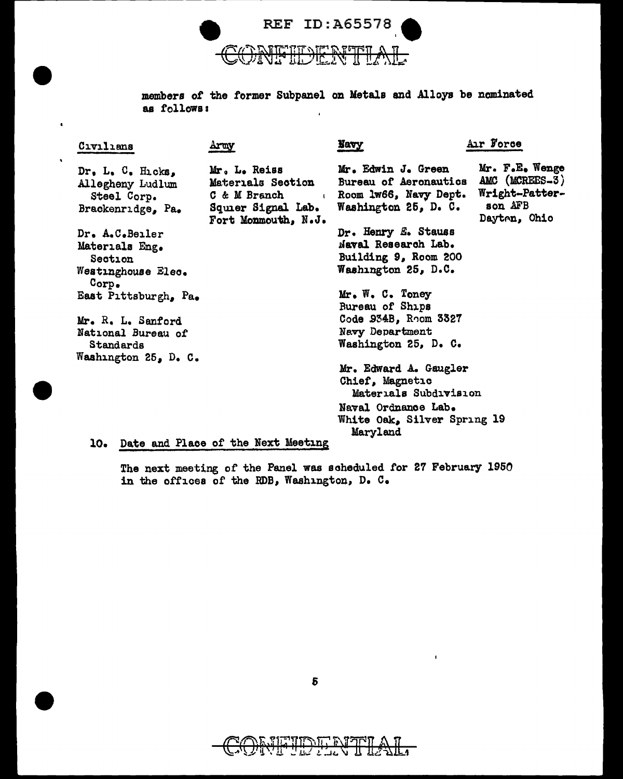

members *ot* the former Subpanel on Metals and Alloys be nominated as follows:  $\mathbf{r}$ 

| Civilians                                                                      | Army                                                                                           | Navy                                                                                                | Air Force                                                                     |
|--------------------------------------------------------------------------------|------------------------------------------------------------------------------------------------|-----------------------------------------------------------------------------------------------------|-------------------------------------------------------------------------------|
| $Dr, L, C, H_{L}$ cks,<br>Allegheny Ludlum<br>Steel Corp.<br>Brackenridge, Pa. | Mr. L. Reiss<br>Materials Section<br>C & M Branch<br>Squier Signal Lab.<br>Fort Monmouth, N.J. | Mr. Edwin J. Green<br><b>Bureau of Aeronautics</b><br>Room 1w66, Navy Dept.<br>Washington 25, D. C. | Mr. F.E. Wenge<br>AMC (MCREES-3)<br>Wright-Patter-<br>son AFB<br>Dayten, Ohio |
| Dr. A.C.Beiler                                                                 |                                                                                                | Dr. Henry E. Stauss                                                                                 |                                                                               |
| Materials Eng.                                                                 |                                                                                                | Naval Research Lab.                                                                                 |                                                                               |
| Section                                                                        |                                                                                                | Building 9, Room 200                                                                                |                                                                               |
| Westinghouse Elec.<br>Corp.                                                    |                                                                                                | Washington 25, D.C.                                                                                 |                                                                               |
| East Pittsburgh, Pa.                                                           |                                                                                                | Mr. W. C. Tomey                                                                                     |                                                                               |
|                                                                                |                                                                                                | Bureau of Ships                                                                                     |                                                                               |
| Mr. R. L. Sanford                                                              |                                                                                                | Code 934B, Room 3327                                                                                |                                                                               |
| National Bureau of                                                             |                                                                                                | Navy Department                                                                                     |                                                                               |
| Standards                                                                      |                                                                                                | Washington 25, D. C.                                                                                |                                                                               |
| Washington 25, D. C.                                                           |                                                                                                |                                                                                                     |                                                                               |
|                                                                                |                                                                                                | Mr. Edward A. Gaugler                                                                               |                                                                               |
|                                                                                |                                                                                                | Chief, Magnetic                                                                                     |                                                                               |
|                                                                                |                                                                                                | Materials Subdivision                                                                               |                                                                               |
|                                                                                |                                                                                                | Naval Ordnance Lab.                                                                                 |                                                                               |
|                                                                                |                                                                                                | White Oak, Silver Spring 19                                                                         |                                                                               |
|                                                                                |                                                                                                | Maryland                                                                                            |                                                                               |
|                                                                                | 10. Date and Place of the Next Meeting                                                         |                                                                                                     |                                                                               |

The next meeting of the Panel was scheduled for 27 February 1950

in the offices of the RDB, Washington, D. C.



<u>ли,</u> - F -97

û

 $\mathbf{r}$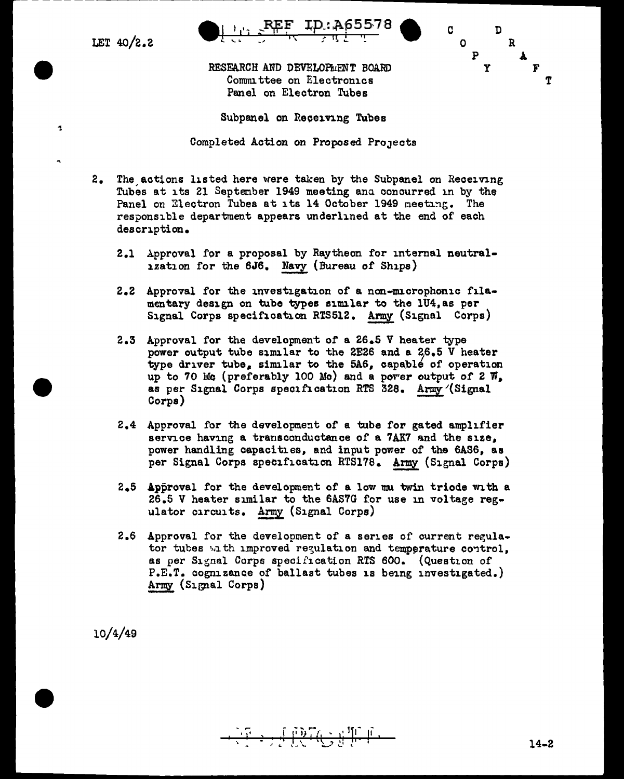LET  $40/2.2$ 

 $\ddot{\phantom{0}}$ 



RESEARCH AND DEVELOPMENT BOARD Committee on Electronics Panel on Electron Tubes



Subpanel on Receiving Tubes

Completed Action on Proposed Projects

- 2. The actions listed here were taken by the Subpanel on Receiving Tubes at its 21 September 1949 meeting and concurred in by the Panel on Electron Tubes at its 14 October 1949 meeting. The responsible department appears underlined at the end of each description.
	- 2.1 Approval for a proposal by Raytheon for internal neutral-1zation for the 6J6. Navy (Bureau of Ships)
	- 2.2 Approval for the investigation of a non-microphonic filamentary design on tube types similar to the 1U4, as per Signal Corps specification RTS512. Army (Signal Corps)
	- 2.3 Approval for the development of a 26.5 V heater type power output tube similar to the 2E26 and a 26.5 V heater type driver tube, similar to the 5A6, capable of operation up to 70 Mg (preferably 100 Mg) and a power output of 2  $\overline{n}$ . as per Signal Corps specification RTS 328. Army (Signal Corps)
	- 2.4 Approval for the development of a tube for gated amplifier service having a transconductance of a 7AK7 and the size, power handling capacities, and input power of the 6AS6, as per Signal Corps specification RTS178. Army (Signal Corps)
	- 2.5 Approval for the development of a low mu twin triode with a 26.5 V heater similar to the 6AS7G for use in voltage regulator circuits. Army (Signal Corps)
	- 2.6 Approval for the development of a series of current regulator tubes with improved regulation and temperature control. as per Signal Corps specification RTS 600. (Question of P.E.T. cognizance of ballast tubes is being investigated.) Army (Signal Corps)

 $10/4/49$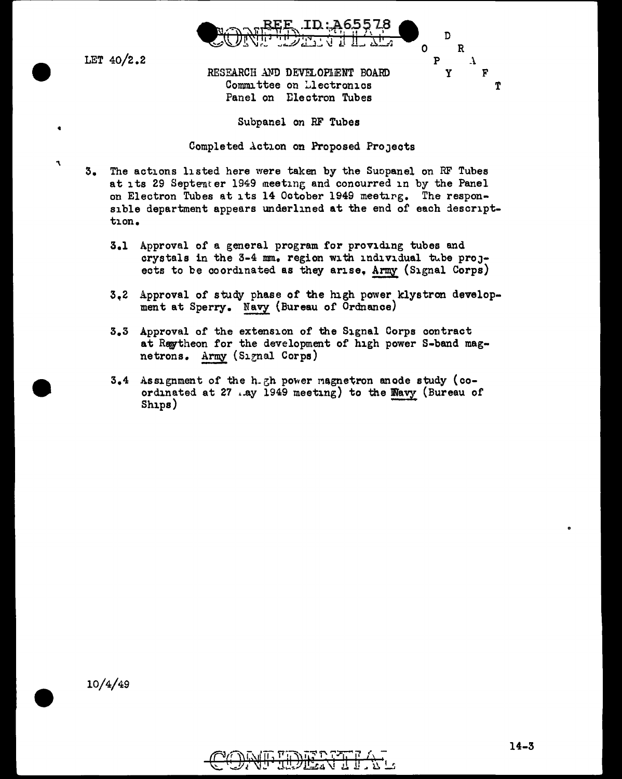

LET 40/2.2

..

'\

D 0 R  $P$   $\lambda$ y F T

RESEARCH AND DEVELOPLENT BOARD Committee on Llectronics Panel on Electron Tubes

Subpanel on RF Tubes

Completed Action on Proposed ProJeots

- 3. The actions listed here were taken by the Suopanel on RF Tubes at its 29 Septemter 1949 meeting and concurred in by the Panel on Electron Tubes at its 14 October 1949 meeting. The responsible department appears underlined at the end of each descripttion.
	- 3.1 Approval of a general program for providing tubes and crystals in the  $3-4$  mm. region with individual tube projects to be coordinated as they arise, Army (Signal Corps)
	- 3~2 Approval of study phase of the high power klystron development at Sperry. Navy (Bureau of Ordnance)
	- 3.3 Approval of the extension of the Signal Corps contract at Raytheon for the development of high power S-band magnetrons. Army (Signal Corps)
	- $3.4$  Assignment of the h-gh power magnetron anode study (coordinated at 27 ..ay 1949 meeting) to the Wavy (Bureau of Ships)

10/4/49